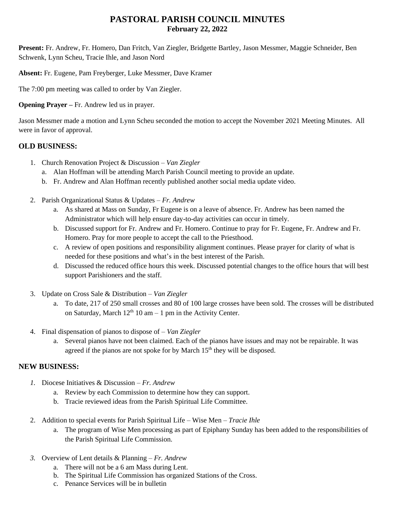# **PASTORAL PARISH COUNCIL MINUTES February 22, 2022**

**Present:** Fr. Andrew, Fr. Homero, Dan Fritch, Van Ziegler, Bridgette Bartley, Jason Messmer, Maggie Schneider, Ben Schwenk, Lynn Scheu, Tracie Ihle, and Jason Nord

**Absent:** Fr. Eugene, Pam Freyberger, Luke Messmer, Dave Kramer

The 7:00 pm meeting was called to order by Van Ziegler.

**Opening Prayer –** Fr. Andrew led us in prayer.

Jason Messmer made a motion and Lynn Scheu seconded the motion to accept the November 2021 Meeting Minutes. All were in favor of approval.

### **OLD BUSINESS:**

- 1. Church Renovation Project & Discussion *Van Ziegler*
	- a. Alan Hoffman will be attending March Parish Council meeting to provide an update.
	- b. Fr. Andrew and Alan Hoffman recently published another social media update video.
- 2. Parish Organizational Status & Updates *Fr. Andrew*
	- a. As shared at Mass on Sunday, Fr Eugene is on a leave of absence. Fr. Andrew has been named the Administrator which will help ensure day-to-day activities can occur in timely.
	- b. Discussed support for Fr. Andrew and Fr. Homero. Continue to pray for Fr. Eugene, Fr. Andrew and Fr. Homero. Pray for more people to accept the call to the Priesthood.
	- c. A review of open positions and responsibility alignment continues. Please prayer for clarity of what is needed for these positions and what's in the best interest of the Parish.
	- d. Discussed the reduced office hours this week. Discussed potential changes to the office hours that will best support Parishioners and the staff.
- 3. Update on Cross Sale & Distribution *Van Ziegler*
	- a. To date, 217 of 250 small crosses and 80 of 100 large crosses have been sold. The crosses will be distributed on Saturday, March  $12<sup>th</sup> 10$  am  $-1$  pm in the Activity Center.
- 4. Final dispensation of pianos to dispose of *Van Ziegler*
	- a. Several pianos have not been claimed. Each of the pianos have issues and may not be repairable. It was agreed if the pianos are not spoke for by March  $15<sup>th</sup>$  they will be disposed.

### **NEW BUSINESS:**

- *1.* Diocese Initiatives & Discussion *Fr. Andrew*
	- a. Review by each Commission to determine how they can support.
	- b. Tracie reviewed ideas from the Parish Spiritual Life Committee.
- 2. Addition to special events for Parish Spiritual Life Wise Men *Tracie Ihle*
	- a. The program of Wise Men processing as part of Epiphany Sunday has been added to the responsibilities of the Parish Spiritual Life Commission.
- *3.* Overview of Lent details & Planning *Fr. Andrew*
	- a. There will not be a 6 am Mass during Lent.
	- b. The Spiritual Life Commission has organized Stations of the Cross.
	- c. Penance Services will be in bulletin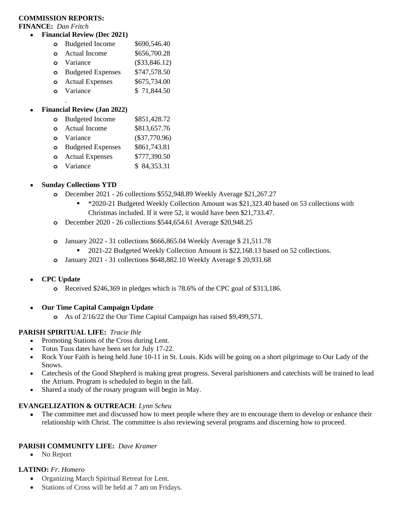#### **COMMISSION REPORTS:**

**FINANCE:** *Dan Fritch*

- **Financial Review (Dec 2021)**
	- **o** Budgeted Income \$690,546.40
	- **o** Actual Income \$656,700.28
	- **o** Variance (\$33,846.12)
	- **o** Budgeted Expenses \$747,578.50
	- **o** Actual Expenses \$675,734.00
	- **o** Variance \$ 71,844.50

### • **Financial Review (Jan 2022)**

.

| $\circ$  | <b>Budgeted Income</b>     | \$851,428.72    |
|----------|----------------------------|-----------------|
| $\Omega$ | <b>Actual Income</b>       | \$813,657.76    |
|          | <b>o</b> Variance          | $(\$37,770.96)$ |
|          | <b>o</b> Budgeted Expenses | \$861,743.81    |
|          | <b>o</b> Actual Expenses   | \$777,390.50    |
|          | o Variance                 | \$84,353.31     |
|          |                            |                 |

#### • **Sunday Collections YTD**

- **o** December 2021 26 collections \$552,948.89 Weekly Average \$21,267.27
	- \*2020-21 Budgeted Weekly Collection Amount was \$21,323.40 based on 53 collections with Christmas included. If it were 52, it would have been \$21,733.47.
- **o** December 2020 26 collections \$544,654.61 Average \$20,948.25
- **o** January 2022 31 collections \$666,865.04 Weekly Average \$ 21,511.78
	- 2021-22 Budgeted Weekly Collection Amount is \$22,168.13 based on 52 collections.
- **o** January 2021 31 collections \$648,882.10 Weekly Average \$ 20,931.68

### • **CPC Update**

- **o** Received \$246,369 in pledges which is 78.6% of the CPC goal of \$313,186.
- **Our Time Capital Campaign Update**
	- **o** As of 2/16/22 the Our Time Capital Campaign has raised \$9,499,571.

### **PARISH SPIRITUAL LIFE:** *Tracie Ihle*

- Promoting Stations of the Cross during Lent.
- Totus Tuus dates have been set for July 17-22.
- Rock Your Faith is being held June 10-11 in St. Louis. Kids will be going on a short pilgrimage to Our Lady of the Snows.
- Catechesis of the Good Shepherd is making great progress. Several parishioners and catechists will be trained to lead the Atrium. Program is scheduled to begin in the fall.
- Shared a study of the rosary program will begin in May.

#### **EVANGELIZATION & OUTREACH**: *Lynn Scheu*

The committee met and discussed how to meet people where they are to encourage them to develop or enhance their relationship with Christ. The committee is also reviewing several programs and discerning how to proceed.

#### **PARISH COMMUNITY LIFE:** *Dave Kramer*

• No Report

#### **LATINO:** *Fr. Homero*

- Organizing March Spiritual Retreat for Lent.
- Stations of Cross will be held at 7 am on Fridays.